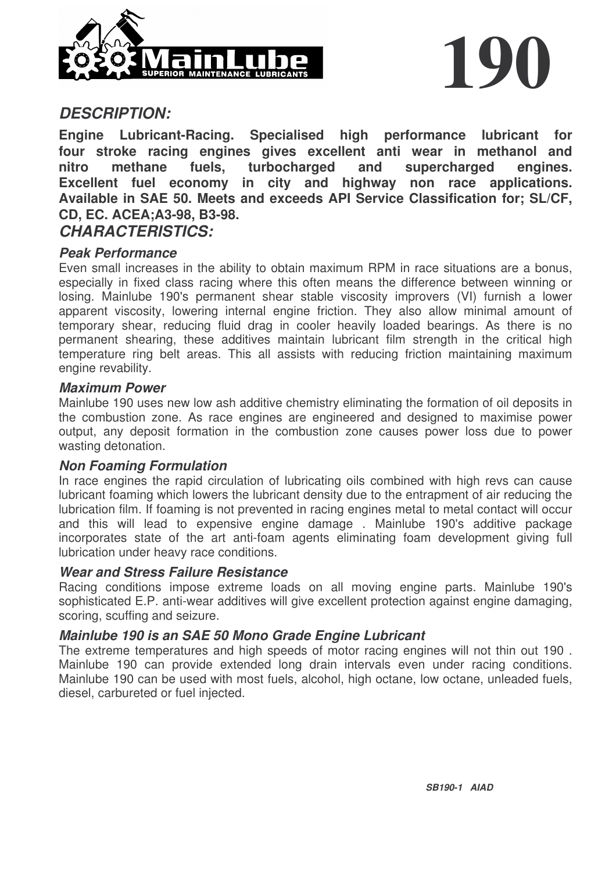



### *DESCRIPTION:*

**Engine Lubricant-Racing. Specialised high performance lubricant for four stroke racing engines gives excellent anti wear in methanol and nitro methane fuels, turbocharged and supercharged engines. Excellent fuel economy in city and highway non race applications. Available in SAE 50. Meets and exceeds API Service Classification for; SL/CF, CD, EC. ACEA;A3-98, B3-98.** *CHARACTERISTICS:*

# *Peak Performance*

Even small increases in the ability to obtain maximum RPM in race situations are a bonus, especially in fixed class racing where this often means the difference between winning or losing. Mainlube 190's permanent shear stable viscosity improvers (VI) furnish a lower apparent viscosity, lowering internal engine friction. They also allow minimal amount of temporary shear, reducing fluid drag in cooler heavily loaded bearings. As there is no permanent shearing, these additives maintain lubricant film strength in the critical high temperature ring belt areas. This all assists with reducing friction maintaining maximum engine revability.

#### *Maximum Power*

Mainlube 190 uses new low ash additive chemistry eliminating the formation of oil deposits in the combustion zone. As race engines are engineered and designed to maximise power output, any deposit formation in the combustion zone causes power loss due to power wasting detonation.

#### *Non Foaming Formulation*

In race engines the rapid circulation of lubricating oils combined with high revs can cause lubricant foaming which lowers the lubricant density due to the entrapment of air reducing the lubrication film. If foaming is not prevented in racing engines metal to metal contact will occur and this will lead to expensive engine damage . Mainlube 190's additive package incorporates state of the art anti-foam agents eliminating foam development giving full lubrication under heavy race conditions.

#### *Wear and Stress Failure Resistance*

Racing conditions impose extreme loads on all moving engine parts. Mainlube 190's sophisticated E.P. anti-wear additives will give excellent protection against engine damaging, scoring, scuffing and seizure.

#### *Mainlube 190 is an SAE 50 Mono Grade Engine Lubricant*

The extreme temperatures and high speeds of motor racing engines will not thin out 190 . Mainlube 190 can provide extended long drain intervals even under racing conditions. Mainlube 190 can be used with most fuels, alcohol, high octane, low octane, unleaded fuels, diesel, carbureted or fuel injected.